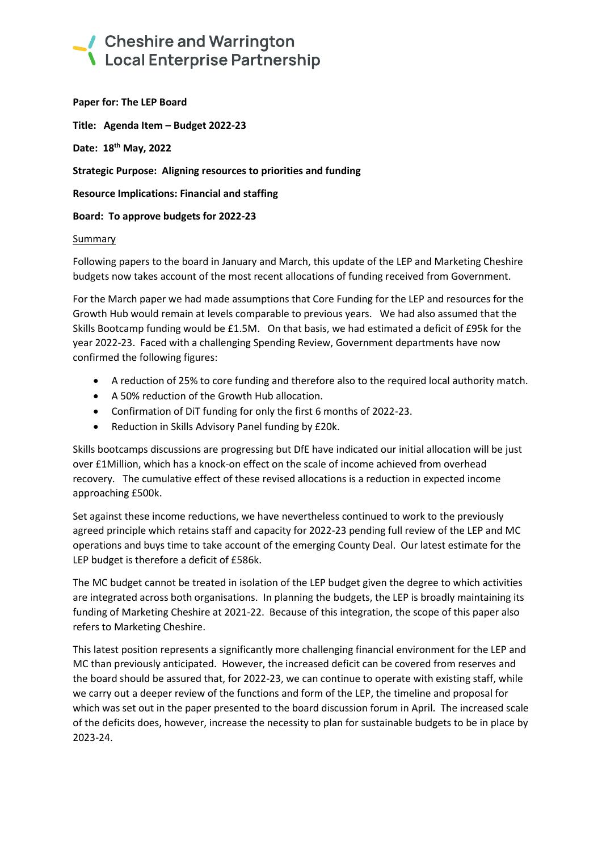### Cheshire and Warrington **\** Local Enterprise Partnership

**Paper for: The LEP Board**

**Title: Agenda Item – Budget 2022-23**

**Date: 18 th May, 2022**

**Strategic Purpose: Aligning resources to priorities and funding**

**Resource Implications: Financial and staffing**

**Board: To approve budgets for 2022-23**

#### Summary

Following papers to the board in January and March, this update of the LEP and Marketing Cheshire budgets now takes account of the most recent allocations of funding received from Government.

For the March paper we had made assumptions that Core Funding for the LEP and resources for the Growth Hub would remain at levels comparable to previous years. We had also assumed that the Skills Bootcamp funding would be £1.5M. On that basis, we had estimated a deficit of £95k for the year 2022-23. Faced with a challenging Spending Review, Government departments have now confirmed the following figures:

- A reduction of 25% to core funding and therefore also to the required local authority match.
- A 50% reduction of the Growth Hub allocation.
- Confirmation of DiT funding for only the first 6 months of 2022-23.
- Reduction in Skills Advisory Panel funding by £20k.

Skills bootcamps discussions are progressing but DfE have indicated our initial allocation will be just over £1Million, which has a knock-on effect on the scale of income achieved from overhead recovery. The cumulative effect of these revised allocations is a reduction in expected income approaching £500k.

Set against these income reductions, we have nevertheless continued to work to the previously agreed principle which retains staff and capacity for 2022-23 pending full review of the LEP and MC operations and buys time to take account of the emerging County Deal. Our latest estimate for the LEP budget is therefore a deficit of £586k.

The MC budget cannot be treated in isolation of the LEP budget given the degree to which activities are integrated across both organisations. In planning the budgets, the LEP is broadly maintaining its funding of Marketing Cheshire at 2021-22. Because of this integration, the scope of this paper also refers to Marketing Cheshire.

This latest position represents a significantly more challenging financial environment for the LEP and MC than previously anticipated. However, the increased deficit can be covered from reserves and the board should be assured that, for 2022-23, we can continue to operate with existing staff, while we carry out a deeper review of the functions and form of the LEP, the timeline and proposal for which was set out in the paper presented to the board discussion forum in April. The increased scale of the deficits does, however, increase the necessity to plan for sustainable budgets to be in place by 2023-24.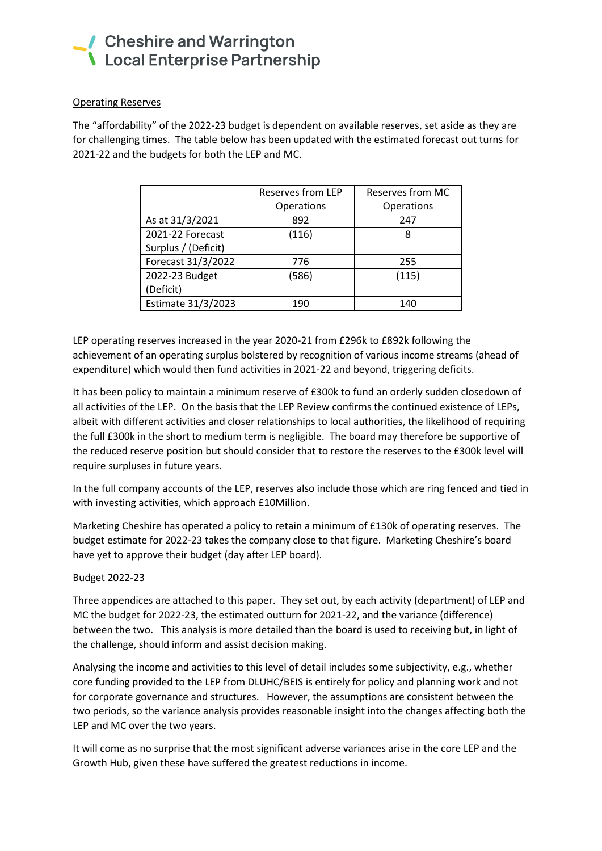### Cheshire and Warrington **\** Local Enterprise Partnership

#### Operating Reserves

The "affordability" of the 2022-23 budget is dependent on available reserves, set aside as they are for challenging times. The table below has been updated with the estimated forecast out turns for 2021-22 and the budgets for both the LEP and MC.

|                     | Reserves from LEP | Reserves from MC |  |  |  |  |
|---------------------|-------------------|------------------|--|--|--|--|
|                     | Operations        | Operations       |  |  |  |  |
| As at 31/3/2021     | 892               | 247              |  |  |  |  |
| 2021-22 Forecast    | (116)             | 8                |  |  |  |  |
| Surplus / (Deficit) |                   |                  |  |  |  |  |
| Forecast 31/3/2022  | 776               | 255              |  |  |  |  |
| 2022-23 Budget      | (586)             | (115)            |  |  |  |  |
| (Deficit)           |                   |                  |  |  |  |  |
| Estimate 31/3/2023  | 190               | 140              |  |  |  |  |

LEP operating reserves increased in the year 2020-21 from £296k to £892k following the achievement of an operating surplus bolstered by recognition of various income streams (ahead of expenditure) which would then fund activities in 2021-22 and beyond, triggering deficits.

It has been policy to maintain a minimum reserve of £300k to fund an orderly sudden closedown of all activities of the LEP. On the basis that the LEP Review confirms the continued existence of LEPs, albeit with different activities and closer relationships to local authorities, the likelihood of requiring the full £300k in the short to medium term is negligible. The board may therefore be supportive of the reduced reserve position but should consider that to restore the reserves to the £300k level will require surpluses in future years.

In the full company accounts of the LEP, reserves also include those which are ring fenced and tied in with investing activities, which approach £10Million.

Marketing Cheshire has operated a policy to retain a minimum of £130k of operating reserves. The budget estimate for 2022-23 takes the company close to that figure. Marketing Cheshire's board have yet to approve their budget (day after LEP board).

#### Budget 2022-23

Three appendices are attached to this paper. They set out, by each activity (department) of LEP and MC the budget for 2022-23, the estimated outturn for 2021-22, and the variance (difference) between the two. This analysis is more detailed than the board is used to receiving but, in light of the challenge, should inform and assist decision making.

Analysing the income and activities to this level of detail includes some subjectivity, e.g., whether core funding provided to the LEP from DLUHC/BEIS is entirely for policy and planning work and not for corporate governance and structures. However, the assumptions are consistent between the two periods, so the variance analysis provides reasonable insight into the changes affecting both the LEP and MC over the two years.

It will come as no surprise that the most significant adverse variances arise in the core LEP and the Growth Hub, given these have suffered the greatest reductions in income.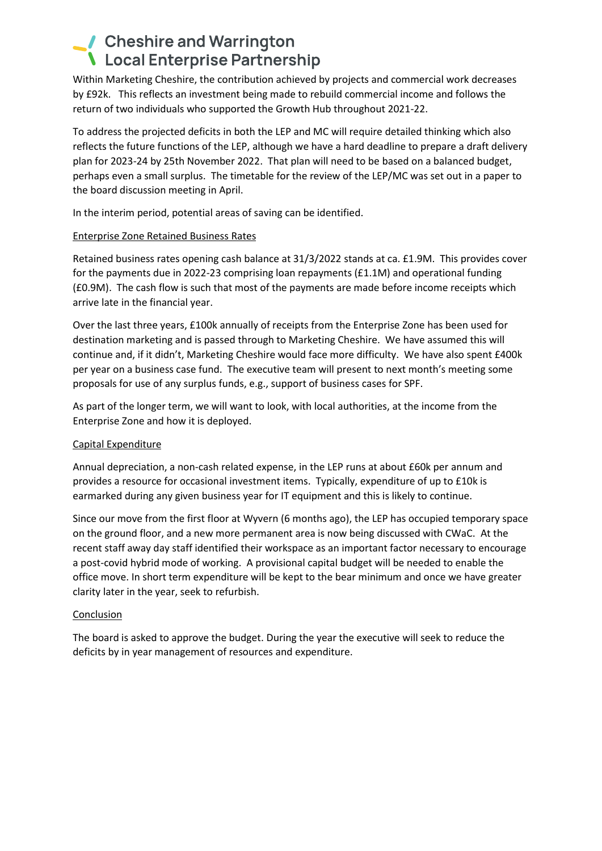### Cheshire and Warrington **\** Local Enterprise Partnership

Within Marketing Cheshire, the contribution achieved by projects and commercial work decreases by £92k. This reflects an investment being made to rebuild commercial income and follows the return of two individuals who supported the Growth Hub throughout 2021-22.

To address the projected deficits in both the LEP and MC will require detailed thinking which also reflects the future functions of the LEP, although we have a hard deadline to prepare a draft delivery plan for 2023-24 by 25th November 2022. That plan will need to be based on a balanced budget, perhaps even a small surplus. The timetable for the review of the LEP/MC was set out in a paper to the board discussion meeting in April.

In the interim period, potential areas of saving can be identified.

#### Enterprise Zone Retained Business Rates

Retained business rates opening cash balance at 31/3/2022 stands at ca. £1.9M. This provides cover for the payments due in 2022-23 comprising loan repayments (£1.1M) and operational funding (£0.9M). The cash flow is such that most of the payments are made before income receipts which arrive late in the financial year.

Over the last three years, £100k annually of receipts from the Enterprise Zone has been used for destination marketing and is passed through to Marketing Cheshire. We have assumed this will continue and, if it didn't, Marketing Cheshire would face more difficulty. We have also spent £400k per year on a business case fund. The executive team will present to next month's meeting some proposals for use of any surplus funds, e.g., support of business cases for SPF.

As part of the longer term, we will want to look, with local authorities, at the income from the Enterprise Zone and how it is deployed.

#### Capital Expenditure

Annual depreciation, a non-cash related expense, in the LEP runs at about £60k per annum and provides a resource for occasional investment items. Typically, expenditure of up to £10k is earmarked during any given business year for IT equipment and this is likely to continue.

Since our move from the first floor at Wyvern (6 months ago), the LEP has occupied temporary space on the ground floor, and a new more permanent area is now being discussed with CWaC. At the recent staff away day staff identified their workspace as an important factor necessary to encourage a post-covid hybrid mode of working. A provisional capital budget will be needed to enable the office move. In short term expenditure will be kept to the bear minimum and once we have greater clarity later in the year, seek to refurbish.

#### Conclusion

The board is asked to approve the budget. During the year the executive will seek to reduce the deficits by in year management of resources and expenditure.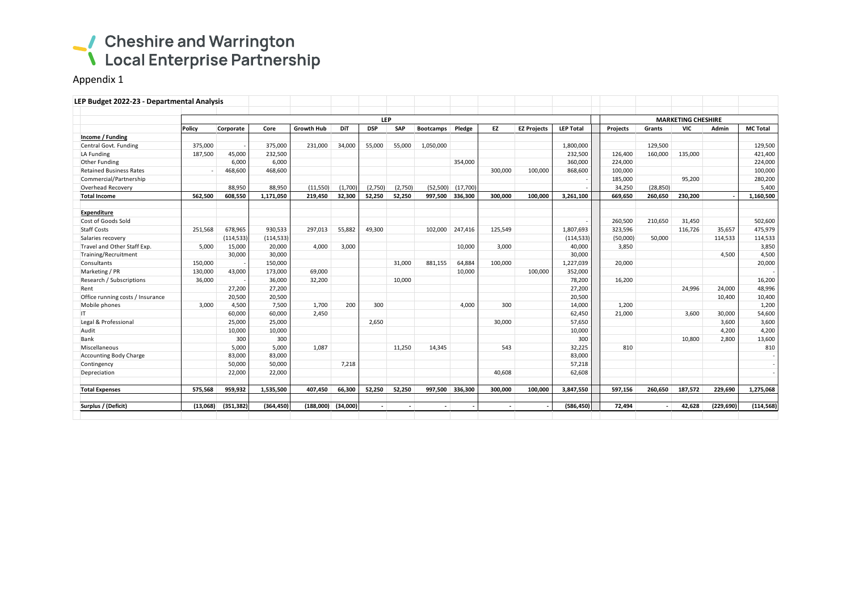# Cheshire and Warrington<br>
Local Enterprise Partnership

Appendix 1

| <b>LEP</b> |                  |                                                                                                      |                                 |                                |                 |         |                  |          |                                           |                    |                  |                                             |                                         | <b>MARKETING CHESHIRE</b> |                   |                   |  |  |  |  |
|------------|------------------|------------------------------------------------------------------------------------------------------|---------------------------------|--------------------------------|-----------------|---------|------------------|----------|-------------------------------------------|--------------------|------------------|---------------------------------------------|-----------------------------------------|---------------------------|-------------------|-------------------|--|--|--|--|
| Policy     |                  | Core                                                                                                 | <b>Growth Hub</b>               | DiT                            | <b>DSP</b>      | SAP     | <b>Bootcamps</b> | Pledge   | <b>EZ</b>                                 | <b>EZ Projects</b> | <b>LEP Total</b> | <b>Projects</b>                             | Grants                                  | VIC                       | Admin             | <b>MC Total</b>   |  |  |  |  |
|            |                  |                                                                                                      |                                 |                                |                 |         |                  |          |                                           |                    |                  |                                             |                                         |                           |                   |                   |  |  |  |  |
| 375,000    |                  | 375,000                                                                                              | 231,000                         | 34,000                         | 55,000          | 55,000  | 1,050,000        |          |                                           |                    | 1,800,000        |                                             | 129,500                                 |                           |                   | 129,500           |  |  |  |  |
| 187,500    | 45,000           | 232,500                                                                                              |                                 |                                |                 |         |                  |          |                                           |                    | 232,500          | 126.400                                     | 160,000                                 | 135,000                   |                   | 421,400           |  |  |  |  |
|            | 6,000            | 6,000                                                                                                |                                 |                                |                 |         |                  | 354,000  |                                           |                    | 360,000          | 224.000                                     |                                         |                           |                   | 224,000           |  |  |  |  |
|            | 468,600          | 468,600                                                                                              |                                 |                                |                 |         |                  |          | 300,000                                   | 100,000            | 868,600          | 100,000                                     |                                         |                           |                   | 100,000           |  |  |  |  |
|            |                  |                                                                                                      |                                 |                                |                 |         |                  |          |                                           |                    |                  | 185,000                                     |                                         | 95,200                    |                   | 280,200           |  |  |  |  |
|            | 88,950           | 88,950                                                                                               | (11, 550)                       | (1,700)                        | (2,750)         | (2,750) |                  | (17,700) |                                           |                    |                  | 34,250                                      | (28, 850)                               |                           |                   | 5,400             |  |  |  |  |
| 562.500    | 608,550          | 1,171,050                                                                                            | 219,450                         | 32,300                         | 52,250          | 52.250  |                  | 336,300  | 300.000                                   | 100.000            | 3,261,100        | 669,650                                     | 260,650                                 | 230,200                   |                   | 1,160,500         |  |  |  |  |
|            |                  |                                                                                                      |                                 |                                |                 |         |                  |          |                                           |                    |                  |                                             |                                         |                           |                   |                   |  |  |  |  |
|            |                  |                                                                                                      |                                 |                                |                 |         |                  |          |                                           |                    |                  |                                             |                                         |                           |                   | 502,600           |  |  |  |  |
|            |                  |                                                                                                      |                                 |                                |                 |         |                  |          |                                           |                    |                  |                                             |                                         |                           |                   | 475,979           |  |  |  |  |
|            |                  |                                                                                                      |                                 |                                |                 |         |                  |          |                                           |                    |                  |                                             |                                         |                           |                   | 114,533           |  |  |  |  |
|            |                  |                                                                                                      |                                 |                                |                 |         |                  |          |                                           |                    |                  |                                             |                                         |                           |                   | 3,850             |  |  |  |  |
|            |                  | 30,000                                                                                               |                                 |                                |                 |         |                  |          |                                           |                    |                  |                                             |                                         |                           | 4.500             | 4,500             |  |  |  |  |
| 150,000    |                  | 150,000                                                                                              |                                 |                                |                 | 31,000  | 881,155          | 64,884   | 100.000                                   |                    | 1,227,039        | 20,000                                      |                                         |                           |                   | 20,000            |  |  |  |  |
| 130,000    | 43,000           | 173,000                                                                                              | 69,000                          |                                |                 |         |                  | 10,000   |                                           | 100,000            | 352,000          |                                             |                                         |                           |                   |                   |  |  |  |  |
| 36,000     |                  | 36,000                                                                                               | 32,200                          |                                |                 | 10,000  |                  |          |                                           |                    | 78,200           | 16,200                                      |                                         |                           |                   | 16,200            |  |  |  |  |
|            | 27,200           | 27,200                                                                                               |                                 |                                |                 |         |                  |          |                                           |                    | 27,200           |                                             |                                         | 24,996                    | 24,000            | 48,996            |  |  |  |  |
|            | 20,500           | 20,500                                                                                               |                                 |                                |                 |         |                  |          |                                           |                    | 20,500           |                                             |                                         |                           | 10,400            | 10,400            |  |  |  |  |
| 3,000      | 4,500            | 7,500                                                                                                | 1,700                           | 200                            | 300             |         |                  | 4.000    | 300                                       |                    | 14,000           | 1,200                                       |                                         |                           |                   | 1,200             |  |  |  |  |
|            | 60,000           | 60,000                                                                                               | 2,450                           |                                |                 |         |                  |          |                                           |                    | 62,450           | 21,000                                      |                                         | 3,600                     | 30,000            | 54,600            |  |  |  |  |
|            | 25,000           | 25,000                                                                                               |                                 |                                | 2,650           |         |                  |          | 30,000                                    |                    | 57,650           |                                             |                                         |                           | 3,600             | 3,600             |  |  |  |  |
|            | 10,000           | 10,000                                                                                               |                                 |                                |                 |         |                  |          |                                           |                    | 10,000           |                                             |                                         |                           | 4,200             | 4,200             |  |  |  |  |
|            | 300              | 300                                                                                                  |                                 |                                |                 |         |                  |          |                                           |                    | 300              |                                             |                                         | 10,800                    | 2.800             | 13,600            |  |  |  |  |
|            | 5,000            | 5,000                                                                                                | 1,087                           |                                |                 | 11,250  | 14,345           |          | 543                                       |                    | 32,225           | 810                                         |                                         |                           |                   | 810               |  |  |  |  |
|            | 83,000           | 83,000                                                                                               |                                 |                                |                 |         |                  |          |                                           |                    | 83,000           |                                             |                                         |                           |                   |                   |  |  |  |  |
|            | 50,000           | 50.000                                                                                               |                                 | 7,218                          |                 |         |                  |          |                                           |                    | 57,218           |                                             |                                         |                           |                   |                   |  |  |  |  |
|            | 22,000           | 22,000                                                                                               |                                 |                                |                 |         |                  |          | 40,608                                    |                    | 62,608           |                                             |                                         |                           |                   |                   |  |  |  |  |
| 575,568    | 959,932          | 1,535,500                                                                                            | 407,450                         | 66,300                         | 52,250          | 52,250  | 997,500          | 336,300  | 300,000                                   | 100,000            | 3,847,550        | 597,156                                     | 260,650                                 | 187,572                   | 229,690           | 1,275,068         |  |  |  |  |
| (13,068)   | (351, 382)       |                                                                                                      | (188,000)                       | (34,000)                       | $\sim$          |         | $\sim$           |          |                                           |                    | (586, 450)       | 72,494                                      |                                         | 42,628                    | (229, 690)        | (114, 568)        |  |  |  |  |
|            | 251,568<br>5,000 | LEP Budget 2022-23 - Departmental Analysis<br>Corporate<br>678,965<br>(114, 533)<br>15,000<br>30,000 | 930,533<br>(114, 533)<br>20,000 | 297,013<br>4,000<br>(364, 450) | 55,882<br>3,000 | 49,300  |                  | 102,000  | (52, 500)<br>997,500<br>247,416<br>10,000 | 125,549<br>3,000   | ÷.               | 1,807,693<br>(114, 533)<br>40,000<br>30,000 | 260,500<br>323,596<br>(50,000)<br>3,850 | 210,650<br>50,000         | 31,450<br>116,726 | 35,657<br>114,533 |  |  |  |  |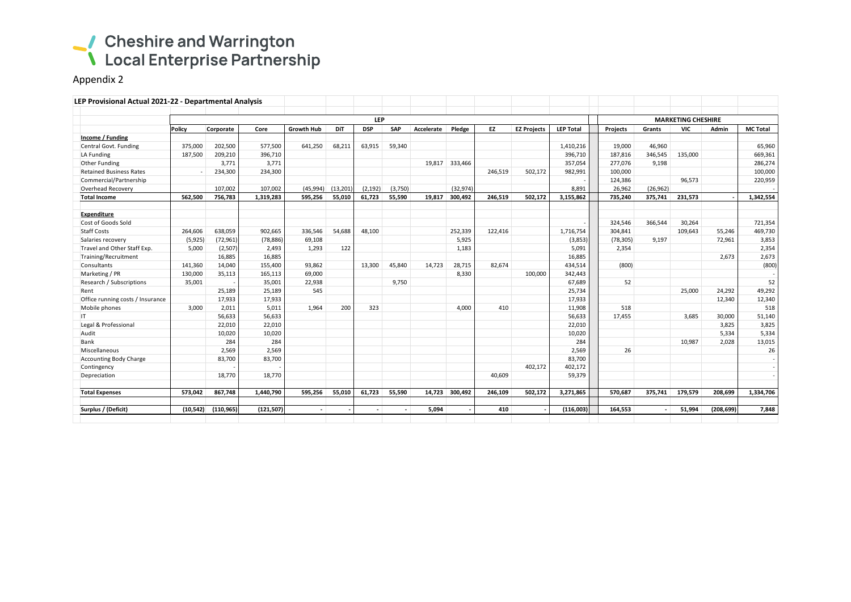# Cheshire and Warrington<br>
Local Enterprise Partnership

Appendix 2

| LEP Provisional Actual 2021-22 - Departmental Analysis |                          |            |            |                   |           |            |         |            |                |         |                    |                  |                           |           |            |            |                 |  |  |
|--------------------------------------------------------|--------------------------|------------|------------|-------------------|-----------|------------|---------|------------|----------------|---------|--------------------|------------------|---------------------------|-----------|------------|------------|-----------------|--|--|
|                                                        | <b>LEP</b>               |            |            |                   |           |            |         |            |                |         |                    |                  | <b>MARKETING CHESHIRE</b> |           |            |            |                 |  |  |
|                                                        | Policy                   | Corporate  | Core       | <b>Growth Hub</b> | DiT       | <b>DSP</b> | SAP     | Accelerate | Pledge         | EZ      | <b>EZ Projects</b> | <b>LEP Total</b> | <b>Projects</b>           | Grants    | <b>VIC</b> | Admin      | <b>MC Total</b> |  |  |
| Income / Funding                                       |                          |            |            |                   |           |            |         |            |                |         |                    |                  |                           |           |            |            |                 |  |  |
| Central Govt. Funding                                  | 375,000                  | 202,500    | 577,500    | 641,250           | 68,211    | 63,915     | 59,340  |            |                |         |                    | 1,410,216        | 19,000                    | 46,960    |            |            | 65,960          |  |  |
| LA Funding                                             | 187,500                  | 209,210    | 396,710    |                   |           |            |         |            |                |         |                    | 396,710          | 187,816                   | 346,545   | 135,000    |            | 669,361         |  |  |
| Other Funding                                          |                          | 3,771      | 3,771      |                   |           |            |         |            | 19,817 333,466 |         |                    | 357,054          | 277,076                   | 9,198     |            |            | 286,274         |  |  |
| <b>Retained Business Rates</b>                         | $\overline{\phantom{a}}$ | 234,300    | 234,300    |                   |           |            |         |            |                | 246,519 | 502,172            | 982,991          | 100,000                   |           |            |            | 100,000         |  |  |
| Commercial/Partnership                                 |                          |            |            |                   |           |            |         |            |                |         |                    |                  | 124,386                   |           | 96,573     |            | 220,959         |  |  |
| Overhead Recovery                                      |                          | 107,002    | 107,002    | (45,994)          | (13, 201) | (2, 192)   | (3,750) |            | (32, 974)      |         |                    | 8,891            | 26,962                    | (26, 962) |            |            |                 |  |  |
| <b>Total Income</b>                                    | 562,500                  | 756,783    | 1,319,283  | 595,256           | 55,010    | 61,723     | 55,590  | 19,817     | 300,492        | 246,519 | 502,172            | 3,155,862        | 735,240                   | 375,741   | 231,573    |            | 1,342,554       |  |  |
| <b>Expenditure</b>                                     |                          |            |            |                   |           |            |         |            |                |         |                    |                  |                           |           |            |            |                 |  |  |
| Cost of Goods Sold                                     |                          |            |            |                   |           |            |         |            |                |         |                    |                  | 324,546                   | 366,544   | 30,264     |            | 721,354         |  |  |
| <b>Staff Costs</b>                                     | 264,606                  | 638,059    | 902,665    | 336,546           | 54,688    | 48,100     |         |            | 252,339        | 122,416 |                    | 1,716,754        | 304,841                   |           | 109,643    | 55,246     | 469,730         |  |  |
| Salaries recovery                                      | (5,925)                  | (72, 961)  | (78, 886)  | 69,108            |           |            |         |            | 5,925          |         |                    | (3,853)          | (78, 305)                 | 9,197     |            | 72,961     | 3,853           |  |  |
| Travel and Other Staff Exp.                            | 5,000                    | (2,507)    | 2,493      | 1,293             | 122       |            |         |            | 1,183          |         |                    | 5,091            | 2,354                     |           |            |            | 2,354           |  |  |
| Training/Recruitment                                   |                          | 16,885     | 16,885     |                   |           |            |         |            |                |         |                    | 16,885           |                           |           |            | 2,673      | 2,673           |  |  |
| Consultants                                            | 141,360                  | 14,040     | 155,400    | 93,862            |           | 13,300     | 45,840  | 14,723     | 28,715         | 82,674  |                    | 434,514          | (800)                     |           |            |            | (800)           |  |  |
| Marketing / PR                                         | 130,000                  | 35,113     | 165,113    | 69,000            |           |            |         |            | 8,330          |         | 100,000            | 342,443          |                           |           |            |            |                 |  |  |
| Research / Subscriptions                               | 35,001                   |            | 35,001     | 22,938            |           |            | 9,750   |            |                |         |                    | 67,689           | 52                        |           |            |            | 52              |  |  |
| Rent                                                   |                          | 25,189     | 25,189     | 545               |           |            |         |            |                |         |                    | 25,734           |                           |           | 25.000     | 24,292     | 49,292          |  |  |
| Office running costs / Insurance                       |                          | 17,933     | 17,933     |                   |           |            |         |            |                |         |                    | 17,933           |                           |           |            | 12,340     | 12,340          |  |  |
| Mobile phones                                          | 3,000                    | 2,011      | 5,011      | 1,964             | 200       | 323        |         |            | 4,000          | 410     |                    | 11,908           | 518                       |           |            |            | 518             |  |  |
| IT.                                                    |                          | 56,633     | 56,633     |                   |           |            |         |            |                |         |                    | 56,633           | 17,455                    |           | 3,685      | 30,000     | 51,140          |  |  |
| Legal & Professional                                   |                          | 22,010     | 22,010     |                   |           |            |         |            |                |         |                    | 22,010           |                           |           |            | 3,825      | 3,825           |  |  |
| Audit                                                  |                          | 10,020     | 10,020     |                   |           |            |         |            |                |         |                    | 10,020           |                           |           |            | 5,334      | 5,334           |  |  |
| Bank                                                   |                          | 284        | 284        |                   |           |            |         |            |                |         |                    | 284              |                           |           | 10,987     | 2.028      | 13,015          |  |  |
| Miscellaneous                                          |                          | 2,569      | 2,569      |                   |           |            |         |            |                |         |                    | 2,569            | 26                        |           |            |            | 26              |  |  |
| <b>Accounting Body Charge</b>                          |                          | 83,700     | 83,700     |                   |           |            |         |            |                |         |                    | 83,700           |                           |           |            |            |                 |  |  |
| Contingency                                            |                          |            |            |                   |           |            |         |            |                |         | 402,172            | 402,172          |                           |           |            |            |                 |  |  |
| Depreciation                                           |                          | 18,770     | 18,770     |                   |           |            |         |            |                | 40.609  |                    | 59,379           |                           |           |            |            |                 |  |  |
| <b>Total Expenses</b>                                  | 573,042                  | 867,748    | 1,440,790  | 595,256           | 55,010    | 61,723     | 55,590  |            | 14,723 300,492 | 246,109 | 502.172            | 3,271,865        | 570,687                   | 375,741   | 179,579    | 208,699    | 1,334,706       |  |  |
| Surplus / (Deficit)                                    | (10, 542)                | (110, 965) | (121, 507) | $\sim$            |           | $\sim$     |         | 5,094      |                | 410     |                    | (116,003)        | 164,553                   |           | 51,994     | (208, 699) | 7,848           |  |  |